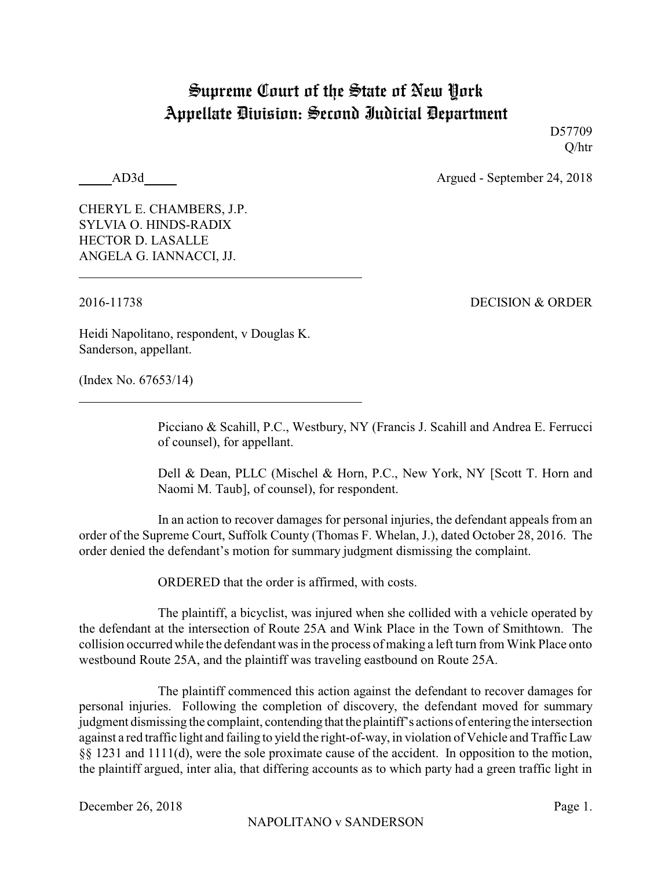## Supreme Court of the State of New York Appellate Division: Second Judicial Department

D57709 Q/htr

AD3d Argued - September 24, 2018

CHERYL E. CHAMBERS, J.P. SYLVIA O. HINDS-RADIX HECTOR D. LASALLE ANGELA G. IANNACCI, JJ.

2016-11738 DECISION & ORDER

Heidi Napolitano, respondent, v Douglas K. Sanderson, appellant.

(Index No. 67653/14)

Picciano & Scahill, P.C., Westbury, NY (Francis J. Scahill and Andrea E. Ferrucci of counsel), for appellant.

Dell & Dean, PLLC (Mischel & Horn, P.C., New York, NY [Scott T. Horn and Naomi M. Taub], of counsel), for respondent.

In an action to recover damages for personal injuries, the defendant appeals from an order of the Supreme Court, Suffolk County (Thomas F. Whelan, J.), dated October 28, 2016. The order denied the defendant's motion for summary judgment dismissing the complaint.

ORDERED that the order is affirmed, with costs.

The plaintiff, a bicyclist, was injured when she collided with a vehicle operated by the defendant at the intersection of Route 25A and Wink Place in the Town of Smithtown. The collision occurred while the defendant was in the process of making a left turn from Wink Place onto westbound Route 25A, and the plaintiff was traveling eastbound on Route 25A.

The plaintiff commenced this action against the defendant to recover damages for personal injuries. Following the completion of discovery, the defendant moved for summary judgment dismissing the complaint, contending that the plaintiff's actions of entering the intersection against a red traffic light and failing to yield the right-of-way, in violation of Vehicle and Traffic Law §§ 1231 and 1111(d), were the sole proximate cause of the accident. In opposition to the motion, the plaintiff argued, inter alia, that differing accounts as to which party had a green traffic light in